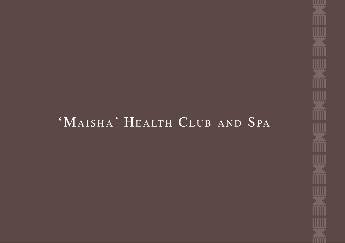# 'MAISHA' HEALTH CLUB AND SPA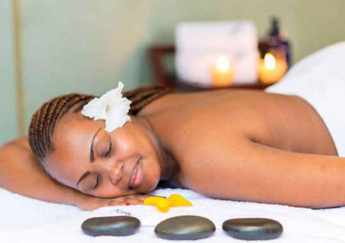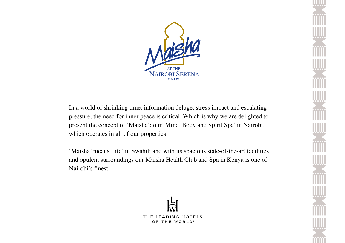

In a world of shrinking time, information deluge, stress impact and escalating pressure, the need for inner peace is critical. Which is why we are delighted to present the concept of 'Maisha': our' Mind, Body and Spirit Spa' in Nairobi, which operates in all of our properties.

'Maisha' means 'life' in Swahili and with its spacious state-of-the-art facilities and opulent surroundings our Maisha Health Club and Spa in Kenya is one of Nairobi's finest.



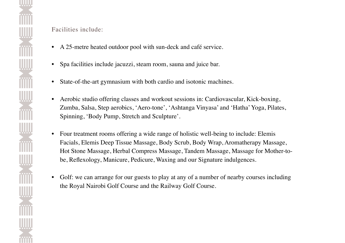### Facilities include:

- A 25-metre heated outdoor pool with sun-deck and café service.
- Spa facilities include jacuzzi, steam room, sauna and juice bar.
- State-of-the-art gymnasium with both cardio and isotonic machines.
- Aerobic studio offering classes and workout sessions in: Cardiovascular, Kick-boxing, Zumba, Salsa, Step aerobics, 'Aero-tone', 'Ashtanga Vinyasa' and 'Hatha' Yoga, Pilates, Spinning, 'Body Pump, Stretch and Sculpture'.
- Four treatment rooms offering a wide range of holistic well-being to include: Elemis Facials, Elemis Deep Tissue Massage, Body Scrub, Body Wrap, Aromatherapy Massage, Hot Stone Massage, Herbal Compress Massage, Tandem Massage, Massage for Mother-tobe, Reflexology, Manicure, Pedicure, Waxing and our Signature indulgences.
- Golf: we can arrange for our guests to play at any of a number of nearby courses including the Royal Nairobi Golf Course and the Railway Golf Course.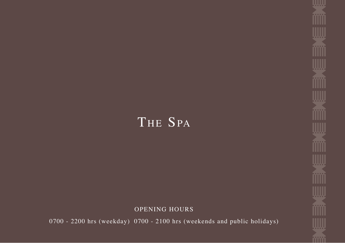# THE SPA

OPENING HOURS

0700 - 2200 hrs (weekday) 0700 - 2100 hrs (weekends and public holidays)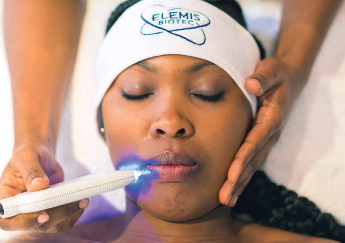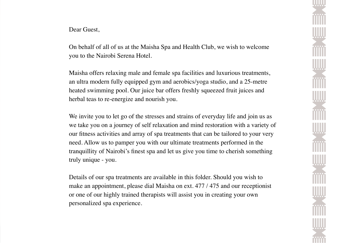Dear Guest,

On behalf of all of us at the Maisha Spa and Health Club, we wish to welcome you to the Nairobi Serena Hotel.

Maisha offers relaxing male and female spa facilities and luxurious treatments, an ultra modern fully equipped gym and aerobics/yoga studio, and a 25-metre heated swimming pool. Our juice bar offers freshly squeezed fruit juices and herbal teas to re-energize and nourish you.

We invite you to let go of the stresses and strains of everyday life and join us as we take you on a journey of self relaxation and mind restoration with a variety of our fitness activities and array of spa treatments that can be tailored to your very need. Allow us to pamper you with our ultimate treatments performed in the tranquillity of Nairobi's finest spa and let us give you time to cherish something truly unique - you.

Details of our spa treatments are available in this folder. Should you wish to make an appointment, please dial Maisha on ext. 477 / 475 and our receptionist or one of our highly trained therapists will assist you in creating your own personalized spa experience.

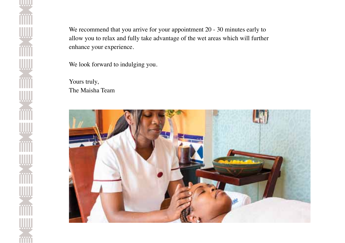

We recommend that you arrive for your appointment 20 - 30 minutes early to allow you to relax and fully take advantage of the wet areas which will further enhance your experience.

We look forward to indulging you.

Yours truly, The Maisha Team

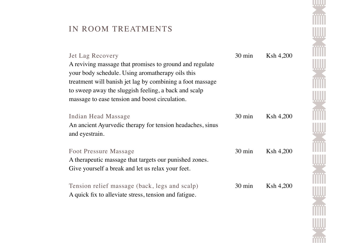# IN ROOM TREATMENTS

| Jet Lag Recovery<br>A reviving massage that promises to ground and regulate<br>your body schedule. Using aromatherapy oils this<br>treatment will banish jet lag by combining a foot massage<br>to sweep away the sluggish feeling, a back and scalp<br>massage to ease tension and boost circulation. | $30 \text{ min}$ | Ksh 4,200 |
|--------------------------------------------------------------------------------------------------------------------------------------------------------------------------------------------------------------------------------------------------------------------------------------------------------|------------------|-----------|
| Indian Head Massage<br>An ancient Ayurvedic therapy for tension headaches, sinus<br>and eyestrain.                                                                                                                                                                                                     | $30 \text{ min}$ | Ksh 4,200 |
| Foot Pressure Massage<br>A therapeutic massage that targets our punished zones.<br>Give yourself a break and let us relax your feet.                                                                                                                                                                   | $30 \text{ min}$ | Ksh 4,200 |
| Tension relief massage (back, legs and scalp)<br>A quick fix to alleviate stress, tension and fatigue.                                                                                                                                                                                                 | $30 \text{ min}$ | Ksh 4,200 |

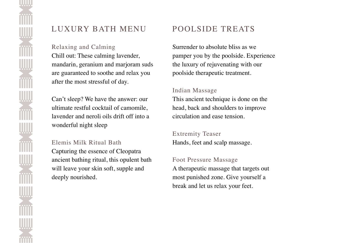### LUXURY BATH MENU

### Relaxing and Calming

Chill out: These calming lavender, mandarin, geranium and marjoram suds are guaranteed to soothe and relax you after the most stressful of day.

Can't sleep? We have the answer: our ultimate restful cocktail of camomile, lavender and neroli oils drift off into a wonderful night sleep

Elemis Milk Ritual Bath Capturing the essence of Cleopatra ancient bathing ritual, this opulent bath will leave your skin soft, supple and deeply nourished.

## POOLSIDE TREATS

Surrender to absolute bliss as we pamper you by the poolside. Experience the luxury of rejuvenating with our poolside therapeutic treatment.

### Indian Massage

This ancient technique is done on the head, back and shoulders to improve circulation and ease tension.

### Extremity Teaser

Hands, feet and scalp massage.

#### Foot Pressure Massage

A therapeutic massage that targets out most punished zone. Give yourself a break and let us relax your feet.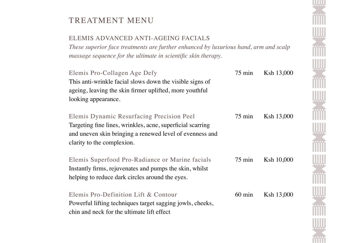## TREATMENT MENU

### ELEMIS ADVANCED ANTI-AGEING FACIALS

*These superior face treatments are further enhanced by luxurious hand, arm and scalp massage sequence for the ultimate in scientific skin therapy.*

| Elemis Pro-Collagen Age Defy<br>This anti-wrinkle facial slows down the visible signs of<br>ageing, leaving the skin firmer uplifted, more youthful<br>looking appearance.                        | $75 \text{ min}$ | Ksh 13,000 |
|---------------------------------------------------------------------------------------------------------------------------------------------------------------------------------------------------|------------------|------------|
| Elemis Dynamic Resurfacing Precision Peel<br>Targeting fine lines, wrinkles, acne, superficial scarring<br>and uneven skin bringing a renewed level of evenness and<br>clarity to the complexion. | $75 \text{ min}$ | Ksh 13,000 |
| Elemis Superfood Pro-Radiance or Marine facials<br>Instantly firms, rejuvenates and pumps the skin, whilst<br>helping to reduce dark circles around the eyes.                                     | $75 \text{ min}$ | Ksh 10,000 |
| Elemis Pro-Definition Lift & Contour<br>Powerful lifting techniques target sagging jowls, cheeks,<br>chin and neck for the ultimate lift effect                                                   | $60 \text{ min}$ | Ksh 13,000 |

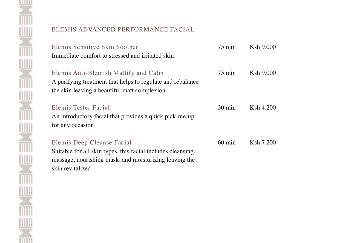### ELEMIS ADVANCED PERFORMANCE FACIAL

| Elemis Sensitive Skin Soother<br>Immediate comfort to stressed and irritated skin.                                                                                        | $75 \text{ min}$ | Ksh 9,000 |
|---------------------------------------------------------------------------------------------------------------------------------------------------------------------------|------------------|-----------|
| Elemis Anti-Blemish Mattify and Calm<br>A purifying treatment that helps to regulate and rebalance<br>the skin leaving a beautiful matt complexion.                       | $75 \text{ min}$ | Ksh 9,000 |
| Elemis Tester Facial<br>An introductory facial that provides a quick pick-me-up<br>for any occasion.                                                                      | $30 \text{ min}$ | Ksh 4,200 |
| Elemis Deep Cleanse Facial<br>Suitable for all skin types, this facial includes cleansing,<br>massage, nourishing mask, and moisturizing leaving the<br>skin revitalized. | $60 \text{ min}$ | Ksh 7,200 |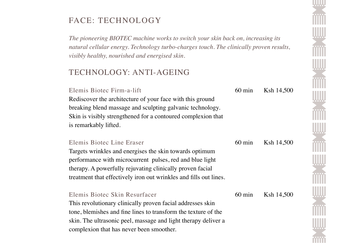# FACE: TECHNOLOGY

*The pioneering BIOTEC machine works to switch your skin back on, increasing its natural cellular energy. Technology turbo-charges touch. The clinically proven results, visibly healthy, nourished and energised skin.*

### TECHNOLOGY: ANTI-AGEING

| Elemis Biotec Firm-a-lift<br>Rediscover the architecture of your face with this ground<br>breaking blend massage and sculpting galvanic technology.<br>Skin is visibly strengthened for a contoured complexion that<br>is remarkably lifted.                                       | $60 \text{ min}$ | Ksh 14,500 |
|------------------------------------------------------------------------------------------------------------------------------------------------------------------------------------------------------------------------------------------------------------------------------------|------------------|------------|
| Elemis Biotec Line Eraser<br>Targets wrinkles and energises the skin towards optimum<br>performance with microcurrent pulses, red and blue light<br>therapy. A powerfully rejuvating clinically proven facial<br>treatment that effectively iron out wrinkles and fills out lines. | $60 \text{ min}$ | Ksh 14,500 |
| Elemis Biotec Skin Resurfacer<br>This revolutionary clinically proven facial addresses skin<br>tone, blemishes and fine lines to transform the texture of the<br>skin. The ultrasonic peel, massage and light therapy deliver a<br>complexion that has never been smoother.        | $60 \text{ min}$ | Ksh 14,500 |

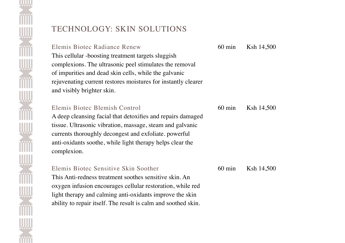### TECHNOLOGY: SKIN SOLUTIONS

### Elemis Biotec Radiance Renew 60 min Ksh 14,500

This cellular -boosting treatment targets sluggish complexions. The ultrasonic peel stimulates the removal of impurities and dead skin cells, while the galvanic rejuvenating current restores moistures for instantly clearer and visibly brighter skin.

Elemis Biotec Blemish Control 60 min Ksh 14,500

A deep cleansing facial that detoxifies and repairs damaged tissue. Ultrasonic vibration, massage, steam and galvanic currents thoroughly decongest and exfoliate. powerful anti-oxidants soothe, while light therapy helps clear the complexion.

### Elemis Biotec Sensitive Skin Soother 60 min Ksh 14,500

This Anti-redness treatment soothes sensitive skin. An oxygen infusion encourages cellular restoration, while red light therapy and calming anti-oxidants improve the skin ability to repair itself. The result is calm and soothed skin.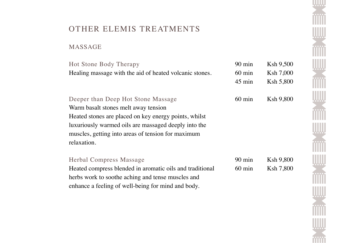## OTHER ELEMIS TREATMENTS

### MASSAGE

| Hot Stone Body Therapy                                   | $90 \text{ min}$ | Ksh 9,500 |
|----------------------------------------------------------|------------------|-----------|
| Healing massage with the aid of heated volcanic stones.  | $60 \text{ min}$ | Ksh 7,000 |
|                                                          | $45 \text{ min}$ | Ksh 5,800 |
| Deeper than Deep Hot Stone Massage                       | $60 \text{ min}$ | Ksh 9,800 |
| Warm basalt stones melt away tension                     |                  |           |
| Heated stones are placed on key energy points, whilst    |                  |           |
| luxuriously warmed oils are massaged deeply into the     |                  |           |
| muscles, getting into areas of tension for maximum       |                  |           |
| relaxation.                                              |                  |           |
| Herbal Compress Massage                                  | $90 \text{ min}$ | Ksh 9,800 |
| Heated compress blended in aromatic oils and traditional | $60 \text{ min}$ | Ksh 7,800 |
| herbs work to soothe aching and tense muscles and        |                  |           |
| enhance a feeling of well-being for mind and body.       |                  |           |

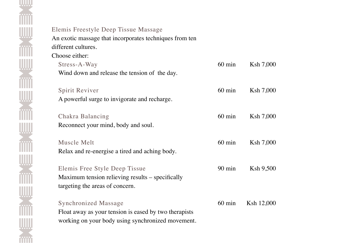| Elemis Freestyle Deep Tissue Massage<br>An exotic massage that incorporates techniques from ten<br>different cultures. |                  |            |
|------------------------------------------------------------------------------------------------------------------------|------------------|------------|
| Choose either:                                                                                                         |                  |            |
| Stress-A-Way                                                                                                           | $60 \text{ min}$ | Ksh 7,000  |
| Wind down and release the tension of the day.                                                                          |                  |            |
| Spirit Reviver                                                                                                         | $60 \text{ min}$ | Ksh 7,000  |
| A powerful surge to invigorate and recharge.                                                                           |                  |            |
| Chakra Balancing                                                                                                       | $60 \text{ min}$ | Ksh 7,000  |
| Reconnect your mind, body and soul.                                                                                    |                  |            |
| Muscle Melt                                                                                                            | $60 \text{ min}$ | Ksh 7,000  |
| Relax and re-energise a tired and aching body.                                                                         |                  |            |
| Elemis Free Style Deep Tissue                                                                                          | $90 \text{ min}$ | Ksh 9,500  |
| Maximum tension relieving results – specifically                                                                       |                  |            |
| targeting the areas of concern.                                                                                        |                  |            |
| Synchronized Massage                                                                                                   | $60 \text{ min}$ | Ksh 12,000 |
| Float away as your tension is eased by two therapists                                                                  |                  |            |
| working on your body using synchronized movement.                                                                      |                  |            |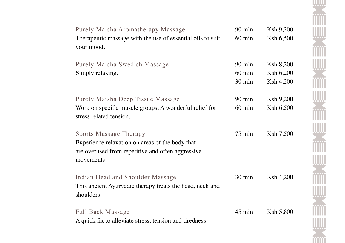| Purely Maisha Aromatherapy Massage<br>Therapeutic massage with the use of essential oils to suit<br>your mood.                              | $90 \text{ min}$<br>$60$ min         | Ksh 9,200<br>Ksh 6,500              |
|---------------------------------------------------------------------------------------------------------------------------------------------|--------------------------------------|-------------------------------------|
| Purely Maisha Swedish Massage<br>Simply relaxing.                                                                                           | 90 min<br>$60 \text{ min}$<br>30 min | Ksh 8,200<br>Ksh 6,200<br>Ksh 4,200 |
| Purely Maisha Deep Tissue Massage<br>Work on specific muscle groups. A wonderful relief for<br>stress related tension.                      | $90 \text{ min}$<br>$60$ min         | Ksh 9,200<br>Ksh 6,500              |
| Sports Massage Therapy<br>Experience relaxation on areas of the body that<br>are overused from repetitive and often aggressive<br>movements | $75 \text{ min}$                     | Ksh 7,500                           |
| Indian Head and Shoulder Massage<br>This ancient Ayurvedic therapy treats the head, neck and<br>shoulders.                                  | $30 \text{ min}$                     | Ksh 4,200                           |
| <b>Full Back Massage</b><br>A quick fix to alleviate stress, tension and tiredness.                                                         | $45 \text{ min}$                     | Ksh 5,800                           |

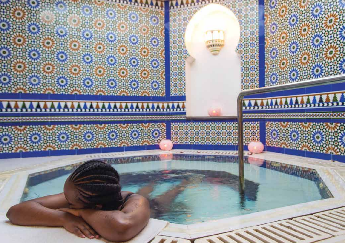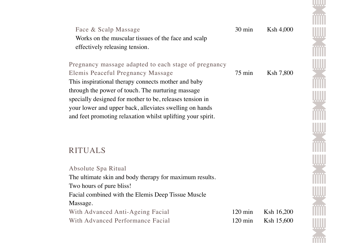| Face & Scalp Massage                                        | $30 \text{ min}$  | Ksh 4,000  |  |
|-------------------------------------------------------------|-------------------|------------|--|
| Works on the muscular tissues of the face and scalp         |                   |            |  |
| effectively releasing tension.                              |                   |            |  |
| Pregnancy massage adapted to each stage of pregnancy        |                   |            |  |
| Elemis Peaceful Pregnancy Massage                           | $75 \text{ min}$  | Ksh 7,800  |  |
| This inspirational therapy connects mother and baby         |                   |            |  |
| through the power of touch. The nurturing massage           |                   |            |  |
| specially designed for mother to be, releases tension in    |                   |            |  |
| your lower and upper back, alleviates swelling on hands     |                   |            |  |
| and feet promoting relaxation whilst uplifting your spirit. |                   |            |  |
|                                                             |                   |            |  |
|                                                             |                   |            |  |
| <b>RITUALS</b>                                              |                   |            |  |
|                                                             |                   |            |  |
| Absolute Spa Ritual                                         |                   |            |  |
| The ultimate skin and body therapy for maximum results.     |                   |            |  |
| Two hours of pure bliss!                                    |                   |            |  |
| Facial combined with the Elemis Deep Tissue Muscle          |                   |            |  |
| Massage.                                                    |                   |            |  |
| With Advanced Anti-Ageing Facial                            | $120 \text{ min}$ | Ksh 16,200 |  |
| With Advanced Performance Facial                            | $120 \text{ min}$ | Ksh 15,600 |  |
|                                                             |                   |            |  |

m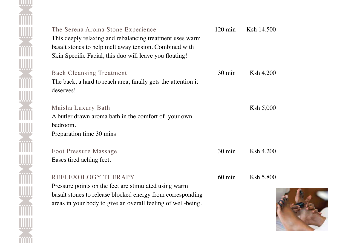| The Serena Aroma Stone Experience<br>This deeply relaxing and rebalancing treatment uses warm<br>basalt stones to help melt away tension. Combined with<br>Skin Specific Facial, this duo will leave you floating! | $120 \text{ min}$ | Ksh 14,500 |
|--------------------------------------------------------------------------------------------------------------------------------------------------------------------------------------------------------------------|-------------------|------------|
| <b>Back Cleansing Treatment</b><br>The back, a hard to reach area, finally gets the attention it<br>deserves!                                                                                                      | $30 \text{ min}$  | Ksh 4,200  |
| Maisha Luxury Bath<br>A butler drawn aroma bath in the comfort of your own<br>bedroom.<br>Preparation time 30 mins                                                                                                 |                   | Ksh 5,000  |
| Foot Pressure Massage<br>Eases tired aching feet.                                                                                                                                                                  | $30 \text{ min}$  | Ksh 4,200  |
| REFLEXOLOGY THERAPY<br>Pressure points on the feet are stimulated using warm<br>basalt stones to release blocked energy from corresponding<br>areas in your body to give an overall feeling of well-being.         | $60$ min          | Ksh 5,800  |

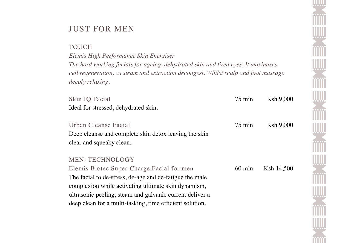### JUST FOR MEN

### TOUCH

*Elemis High Performance Skin Energiser The hard working facials for ageing, dehydrated skin and tired eyes. It maximises cell regeneration, as steam and extraction decongest. Whilst scalp and foot massage deeply relaxing.*

| Skin IQ Facial                                           | $75 \text{ min}$ | Ksh 9,000  |
|----------------------------------------------------------|------------------|------------|
| Ideal for stressed, dehydrated skin.                     |                  |            |
|                                                          |                  |            |
| Urban Cleanse Facial                                     | $75 \text{ min}$ | Ksh 9,000  |
| Deep cleanse and complete skin detox leaving the skin    |                  |            |
| clear and squeaky clean.                                 |                  |            |
|                                                          |                  |            |
| <b>MEN: TECHNOLOGY</b>                                   |                  |            |
| Elemis Biotec Super-Charge Facial for men                | $60 \text{ min}$ | Ksh 14,500 |
| The facial to de-stress, de-age and de-fatigue the male  |                  |            |
| complexion while activating ultimate skin dynamism,      |                  |            |
| ultrasonic peeling, steam and galvanic current deliver a |                  |            |
| deep clean for a multi-tasking, time efficient solution. |                  |            |
|                                                          |                  |            |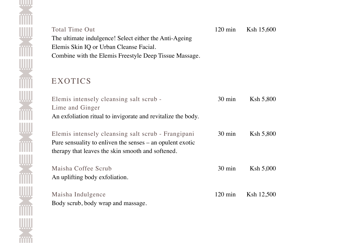Total Time Out 120 min Ksh 15,600 The ultimate indulgence! Select either the Anti-Ageing Elemis Skin IQ or Urban Cleanse Facial. Combine with the Elemis Freestyle Deep Tissue Massage.

### EXOTICS

| Elemis intensely cleansing salt scrub -                      | $30 \text{ min}$  | Ksh 5,800  |
|--------------------------------------------------------------|-------------------|------------|
| Lime and Ginger                                              |                   |            |
| An exfoliation ritual to invigorate and revitalize the body. |                   |            |
| Elemis intensely cleansing salt scrub - Frangipani           | $30 \text{ min}$  | Ksh 5,800  |
| Pure sensuality to enliven the senses – an opulent exotic    |                   |            |
| therapy that leaves the skin smooth and softened.            |                   |            |
| Maisha Coffee Scrub                                          | $30 \text{ min}$  | Ksh 5,000  |
| An uplifting body exfoliation.                               |                   |            |
| Maisha Indulgence                                            | $120 \text{ min}$ | Ksh 12,500 |
| Body scrub, body wrap and massage.                           |                   |            |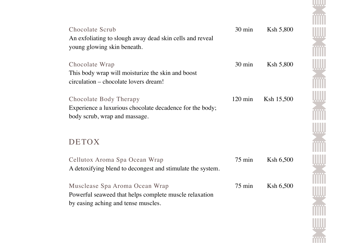| Chocolate Scrub<br>An exfoliating to slough away dead skin cells and reveal<br>young glowing skin beneath.                      | $30 \text{ min}$  | Ksh 5,800  |
|---------------------------------------------------------------------------------------------------------------------------------|-------------------|------------|
| Chocolate Wrap<br>This body wrap will moisturize the skin and boost<br>circulation – chocolate lovers dream!                    | $30 \text{ min}$  | Ksh 5,800  |
| Chocolate Body Therapy<br>Experience a luxurious chocolate decadence for the body;<br>body scrub, wrap and massage.             | $120 \text{ min}$ | Ksh 15,500 |
| <b>DETOX</b>                                                                                                                    |                   |            |
| Cellutox Aroma Spa Ocean Wrap<br>A detoxifying blend to decongest and stimulate the system.                                     | $75 \text{ min}$  | Ksh 6,500  |
| Musclease Spa Aroma Ocean Wrap<br>Powerful seaweed that helps complete muscle relaxation<br>by easing aching and tense muscles. | $75 \text{ min}$  | Ksh 6,500  |

.<br>WW

NE SINES

**WW** 

m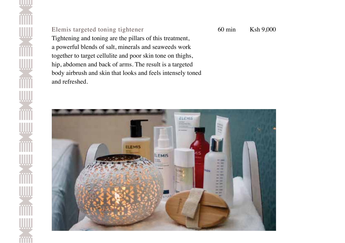### Elemis targeted toning tightener 60 min Ksh 9,000

Tightening and toning are the pillars of this treatment, a powerful blends of salt, minerals and seaweeds work together to target cellulite and poor skin tone on thighs, hip, abdomen and back of arms. The result is a targeted body airbrush and skin that looks and feels intensely toned and refreshed.

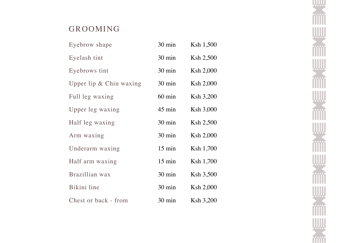## GROOMING

| Eyebrow shape             | $30 \text{ min}$ | Ksh 1,500 |
|---------------------------|------------------|-----------|
| Eyelash tint              | $30 \text{ min}$ | Ksh 2,500 |
| Eyebrows tint             | $30 \text{ min}$ | Ksh 2,000 |
| Upper lip $& Chin$ waxing | $30 \text{ min}$ | Ksh 2,000 |
| Full leg waxing           | 60 min           | Ksh 3,200 |
| Upper leg waxing          | $45 \text{ min}$ | Ksh 3,000 |
| Half leg waxing           | $30 \text{ min}$ | Ksh 2,500 |
| Arm waxing                | $30 \text{ min}$ | Ksh 2,000 |
| Underarm waxing           | $15 \text{ min}$ | Ksh 1,700 |
| Half arm waxing           | $15 \text{ min}$ | Ksh 1,700 |
| Brazillian wax            | $30 \text{ min}$ | Ksh 3,500 |
| Bikini line               | $30 \text{ min}$ | Ksh 2,000 |
| Chest or back - from      | $30 \text{ min}$ | Ksh 3,200 |

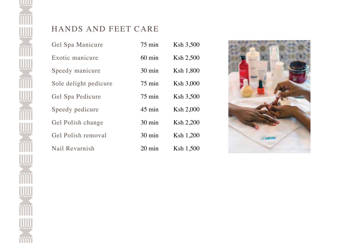# HANDS AND FEET CARE

| Gel Spa Manicure      | $75 \text{ min}$ | Ksh 3,500 |
|-----------------------|------------------|-----------|
| Exotic manicure       | $60 \text{ min}$ | Ksh 2,500 |
| Speedy manicure       | $30 \text{ min}$ | Ksh 1,800 |
| Sole delight pedicure | $75 \text{ min}$ | Ksh 3,000 |
| Gel Spa Pedicure      | $75 \text{ min}$ | Ksh 3,500 |
| Speedy pedicure       | $45 \text{ min}$ | Ksh 2,000 |
| Gel Polish change     | $30 \text{ min}$ | Ksh 2,200 |
| Gel Polish removal    | $30 \text{ min}$ | Ksh 1,200 |
| Nail Revarnish        | $20 \text{ min}$ | Ksh 1,500 |

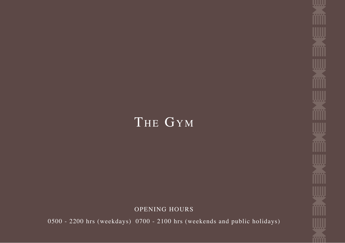# THE GYM

OPENING HOURS

0500 - 2200 hrs (weekdays) 0700 - 2100 hrs (weekends and public holidays)

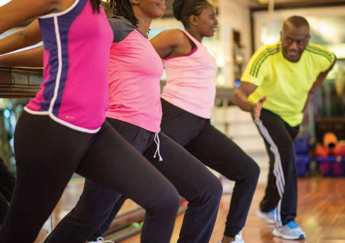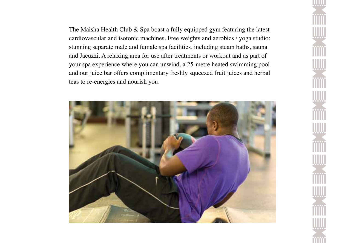The Maisha Health Club & Spa boast a fully equipped gym featuring the latest cardiovascular and isotonic machines. Free weights and aerobics / yoga studio: stunning separate male and female spa facilities, including steam baths, sauna and Jacuzzi. A relaxing area for use after treatments or workout and as part of your spa experience where you can unwind, a 25-metre heated swimming pool and our juice bar offers complimentary freshly squeezed fruit juices and herbal teas to re-energies and nourish you.

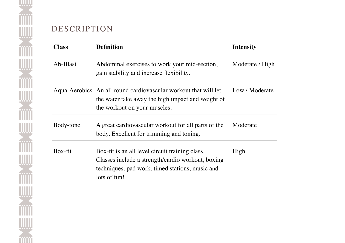# DESCRIPTION

| <b>Class</b> | <b>Definition</b>                                                                                                                                                       | <b>Intensity</b> |
|--------------|-------------------------------------------------------------------------------------------------------------------------------------------------------------------------|------------------|
| Ab-Blast     | Abdominal exercises to work your mid-section,<br>gain stability and increase flexibility.                                                                               | Moderate / High  |
|              | Aqua-Aerobics An all-round cardiovascular workout that will let<br>the water take away the high impact and weight of<br>the workout on your muscles.                    | Low / Moderate   |
| Body-tone    | A great cardiovascular workout for all parts of the<br>body. Excellent for trimming and toning.                                                                         | Moderate         |
| Box-fit      | Box-fit is an all level circuit training class.<br>Classes include a strength/cardio workout, boxing<br>techniques, pad work, timed stations, music and<br>lots of fun! | High             |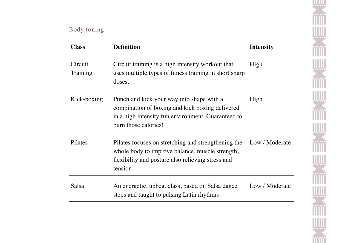### Body toning

| <b>Class</b>        | <b>Definition</b>                                                                                                                                                          | <b>Intensity</b> |
|---------------------|----------------------------------------------------------------------------------------------------------------------------------------------------------------------------|------------------|
| Circuit<br>Training | Circuit training is a high intensity workout that<br>uses multiple types of fitness training in short sharp<br>doses.                                                      | High             |
| Kick-boxing         | Punch and kick your way into shape with a<br>combination of boxing and kick boxing delivered<br>in a high intensity fun environment. Guaranteed to<br>burn those calories! | High             |
| Pilates             | Pilates focuses on stretching and strengthening the<br>whole body to improve balance, muscle strength,<br>flexibility and posture also relieving stress and<br>tension.    | Low / Moderate   |
| Salsa               | An energetic, upbeat class, based on Salsa dance<br>steps and taught to pulsing Latin rhythms.                                                                             | Low / Moderate   |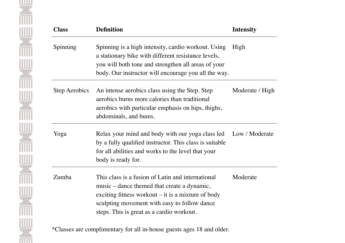| <b>Class</b>  | <b>Definition</b>                                                                                                                                                                                                                                     | <b>Intensity</b> |
|---------------|-------------------------------------------------------------------------------------------------------------------------------------------------------------------------------------------------------------------------------------------------------|------------------|
| Spinning      | Spinning is a high intensity, cardio workout. Using<br>a stationary bike with different resistance levels,<br>you will both tone and strengthen all areas of your<br>body. Our instructor will encourage you all the way.                             | High             |
| Step Aerobics | An intense aerobics class using the Step. Step.<br>aerobics burns more calories than traditional<br>aerobics with particular emphasis on hips, thighs,<br>abdominals, and bums.                                                                       | Moderate / High  |
| Yoga          | Relax your mind and body with our yoga class led<br>by a fully qualified instructor. This class is suitable<br>for all abilities and works to the level that your<br>body is ready for.                                                               | Low / Moderate   |
| Zumba         | This class is a fusion of Latin and international<br>music – dance themed that create a dynamic,<br>exciting fitness workout $-$ it is a mixture of body<br>sculpting movement with easy to follow dance<br>steps. This is great as a cardio workout. | Moderate         |

\*Classes are complimentary for all in-house guests ages 18 and older.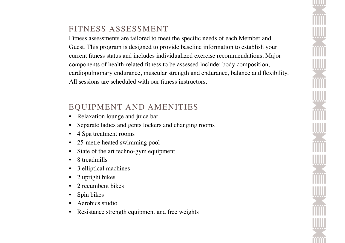# FITNESS ASSESSMENT

Fitness assessments are tailored to meet the specific needs of each Member and Guest. This program is designed to provide baseline information to establish your current fitness status and includes individualized exercise recommendations. Major components of health-related fitness to be assessed include: body composition, cardiopulmonary endurance, muscular strength and endurance, balance and flexibility. All sessions are scheduled with our fitness instructors.

### EQUIPMENT AND AMENITIES

- Relaxation lounge and juice bar
- Separate ladies and gents lockers and changing rooms
- 4 Spa treatment rooms
- 25-metre heated swimming pool
- State of the art techno-gym equipment
- 8 treadmills
- 3 elliptical machines
- 2 upright bikes
- 2 recumbent bikes
- Spin bikes
- Aerobics studio
- Resistance strength equipment and free weights

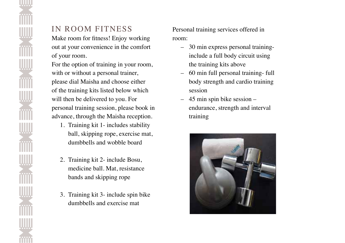# IN ROOM FITNESS

Make room for fitness! Enjoy working out at your convenience in the comfort of your room.

For the option of training in your room, with or without a personal trainer, please dial Maisha and choose either of the training kits listed below which will then be delivered to you. For personal training session, please book in advance, through the Maisha reception.

- 1. Training kit 1- includes stability ball, skipping rope, exercise mat, dumbbells and wobble board
- 2. Training kit 2- include Bosu, medicine ball. Mat, resistance bands and skipping rope
- 3. Training kit 3- include spin bike dumbbells and exercise mat

Personal training services offered in room:

- 30 min express personal traininginclude a full body circuit using the training kits above
- 60 min full personal training- full body strength and cardio training session
- 45 min spin bike session endurance, strength and interval training

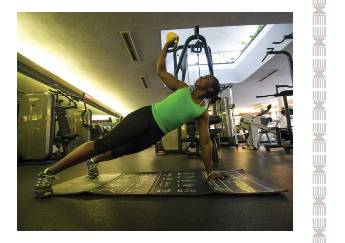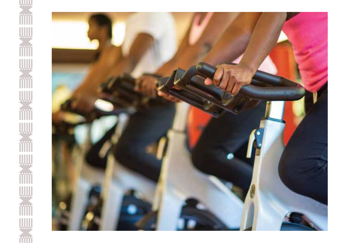

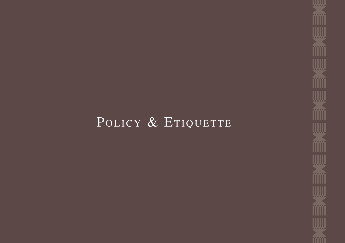# POLICY & ETIQUETTE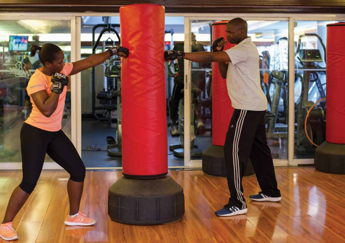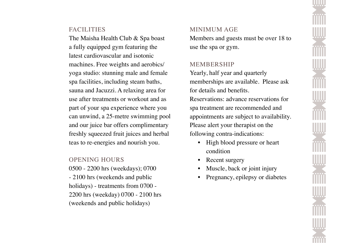### **FACILITIES**

The Maisha Health Club & Spa boast a fully equipped gym featuring the latest cardiovascular and isotonic machines. Free weights and aerobics/ yoga studio: stunning male and female spa facilities, including steam baths, sauna and Jacuzzi. A relaxing area for use after treatments or workout and as part of your spa experience where you can unwind, a 25-metre swimming pool and our juice bar offers complimentary freshly squeezed fruit juices and herbal teas to re-energies and nourish you.

#### OPENING HOURS

0500 - 2200 hrs (weekdays); 0700 - 2100 hrs (weekends and public holidays) - treatments from 0700 - 2200 hrs (weekday) 0700 - 2100 hrs (weekends and public holidays)

#### MINIMUM AGE

Members and guests must be over 18 to use the spa or gym.

### MEMBERSHIP

Yearly, half year and quarterly memberships are available. Please ask for details and benefits.

Reservations: advance reservations for spa treatment are recommended and appointments are subject to availability. Please alert your therapist on the following contra-indications:

- High blood pressure or heart condition
- Recent surgery
- Muscle, back or joint injury
- Pregnancy, epilepsy or diabetes

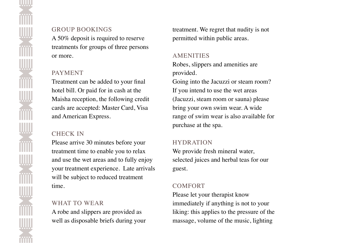### GROUP BOOKINGS

A 50% deposit is required to reserve treatments for groups of three persons or more.

### PAYMENT

Treatment can be added to your final hotel bill. Or paid for in cash at the Maisha reception, the following credit cards are accepted: Master Card, Visa and American Express.

### CHECK IN

Please arrive 30 minutes before your treatment time to enable you to relax and use the wet areas and to fully enjoy your treatment experience. Late arrivals will be subject to reduced treatment time.

### WHAT TO WEAR

A robe and slippers are provided as well as disposable briefs during your treatment. We regret that nudity is not permitted within public areas.

#### **AMENITIES**

Robes, slippers and amenities are provided. Going into the Jacuzzi or steam room? If you intend to use the wet areas (Jacuzzi, steam room or sauna) please bring your own swim wear. A wide range of swim wear is also available for purchase at the spa.

### HYDRATION

We provide fresh mineral water, selected juices and herbal teas for our guest.

### COMFORT

Please let your therapist know immediately if anything is not to your liking: this applies to the pressure of the massage, volume of the music, lighting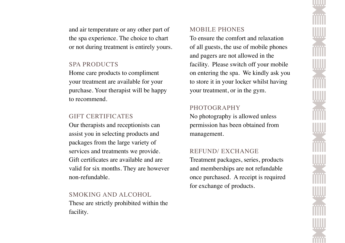and air temperature or any other part of the spa experience. The choice to chart or not during treatment is entirely yours.

### SPA PRODUCTS

Home care products to compliment your treatment are available for your purchase. Your therapist will be happy to recommend.

### GIFT CERTIFICATES

Our therapists and receptionists can assist you in selecting products and packages from the large variety of services and treatments we provide. Gift certificates are available and are valid for six months. They are however non-refundable.

### SMOKING AND ALCOHOL

These are strictly prohibited within the facility.

#### MOBILE PHONES

To ensure the comfort and relaxation of all guests, the use of mobile phones and pagers are not allowed in the facility. Please switch off your mobile on entering the spa. We kindly ask you to store it in your locker whilst having your treatment, or in the gym.

### PHOTOGRAPHY

No photography is allowed unless permission has been obtained from management.

### REFUND/ EXCHANGE

Treatment packages, series, products and memberships are not refundable once purchased. A receipt is required for exchange of products.